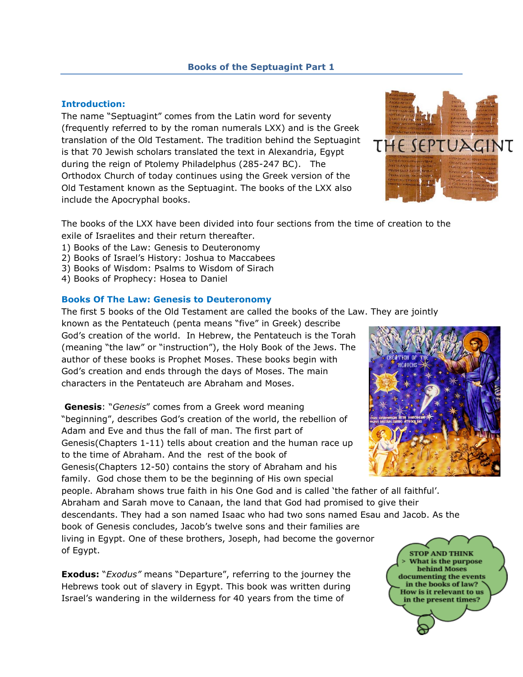# **Introduction:**

The name "Septuagint" comes from the Latin word for seventy (frequently referred to by the roman numerals LXX) and is the Greek translation of the Old Testament. The tradition behind the Septuagint is that 70 Jewish scholars translated the text in Alexandria, Egypt during the reign of Ptolemy Philadelphus (285-247 BC). The Orthodox Church of today continues using the Greek version of the Old Testament known as the Septuagint. The books of the LXX also include the Apocryphal books.



The books of the LXX have been divided into four sections from the time of creation to the exile of Israelites and their return thereafter.

- 1) Books of the Law: Genesis to Deuteronomy
- 2) Books of Israel"s History: Joshua to Maccabees
- 3) Books of Wisdom: Psalms to Wisdom of Sirach
- 4) Books of Prophecy: Hosea to Daniel

## **Books Of The Law: Genesis to Deuteronomy**

The first 5 books of the Old Testament are called the books of the Law. They are jointly

known as the Pentateuch (penta means "five" in Greek) describe God"s creation of the world. In Hebrew, the Pentateuch is the Torah (meaning "the law" or "instruction"), the Holy Book of the Jews. The author of these books is Prophet Moses. These books begin with God"s creation and ends through the days of Moses. The main characters in the Pentateuch are Abraham and Moses.

**Genesis**: "*Genesis*" comes from a Greek word meaning "beginning", describes God"s creation of the world, the rebellion of Adam and Eve and thus the fall of man. The first part of Genesis(Chapters 1-11) tells about creation and the human race up to the time of Abraham. And the rest of the book of Genesis(Chapters 12-50) contains the story of Abraham and his family. God chose them to be the beginning of His own special



people. Abraham shows true faith in his One God and is called "the father of all faithful". Abraham and Sarah move to Canaan, the land that God had promised to give their descendants. They had a son named Isaac who had two sons named Esau and Jacob. As the book of Genesis concludes, Jacob's twelve sons and their families are living in Egypt. One of these brothers, Joseph, had become the governor

of Egypt.

**Exodus:** "*Exodus"* means "Departure", referring to the journey the Hebrews took out of slavery in Egypt. This book was written during Israel's wandering in the wilderness for 40 years from the time of

**STOP AND THINK** What is the purpose **behind Moses** documenting the events in the books of law? How is it relevant to us in the present times?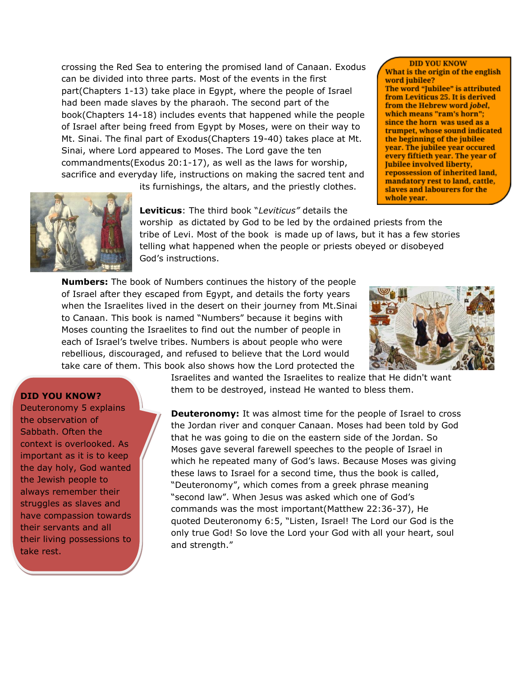crossing the Red Sea to entering the promised land of Canaan. Exodus can be divided into three parts. Most of the events in the first part(Chapters 1-13) take place in Egypt, where the people of Israel had been made slaves by the pharaoh. The second part of the book(Chapters 14-18) includes events that happened while the people of Israel after being freed from Egypt by Moses, were on their way to Mt. Sinai. The final part of Exodus(Chapters 19-40) takes place at Mt. Sinai, where Lord appeared to Moses. The Lord gave the ten commandments(Exodus 20:1-17), as well as the laws for worship, sacrifice and everyday life, instructions on making the sacred tent and

**DID YOU KNOW** What is the origin of the english word jubilee? The word "Jubilee" is attributed from Leviticus 25. It is derived from the Hebrew word *jobel*, which means "ram's horn"; since the horn was used as a trumpet, whose sound indicated the beginning of the jubilee year. The jubilee year occured every fiftieth year. The year of **Jubilee involved liberty,** repossession of inherited land, mandatory rest to land, cattle, slaves and labourers for the whole year.



its furnishings, the altars, and the priestly clothes.

**Leviticus**: The third book "*Leviticus"* details the

worship as dictated by God to be led by the ordained priests from the tribe of Levi. Most of the book is made up of laws, but it has a few stories telling what happened when the people or priests obeyed or disobeyed God"s instructions.

**Numbers:** The book of Numbers continues the history of the people of Israel after they escaped from Egypt, and details the forty years when the Israelites lived in the desert on their journey from Mt.Sinai to Canaan. This book is named "Numbers" because it begins with Moses counting the Israelites to find out the number of people in each of Israel's twelve tribes. Numbers is about people who were rebellious, discouraged, and refused to believe that the Lord would take care of them. This book also shows how the Lord protected the



## **DID YOU KNOW?**

Deuteronomy 5 explains the observation of Sabbath. Often the context is overlooked. As important as it is to keep the day holy, God wanted the Jewish people to always remember their struggles as slaves and have compassion towards their servants and all their living possessions to take rest.

Israelites and wanted the Israelites to realize that He didn't want them to be destroyed, instead He wanted to bless them.

**Deuteronomy:** It was almost time for the people of Israel to cross the Jordan river and conquer Canaan. Moses had been told by God that he was going to die on the eastern side of the Jordan. So Moses gave several farewell speeches to the people of Israel in which he repeated many of God's laws. Because Moses was giving these laws to Israel for a second time, thus the book is called, "Deuteronomy", which comes from a greek phrase meaning "second law". When Jesus was asked which one of God's commands was the most important(Matthew 22:36-37), He quoted Deuteronomy 6:5, "Listen, Israel! The Lord our God is the only true God! So love the Lord your God with all your heart, soul and strength."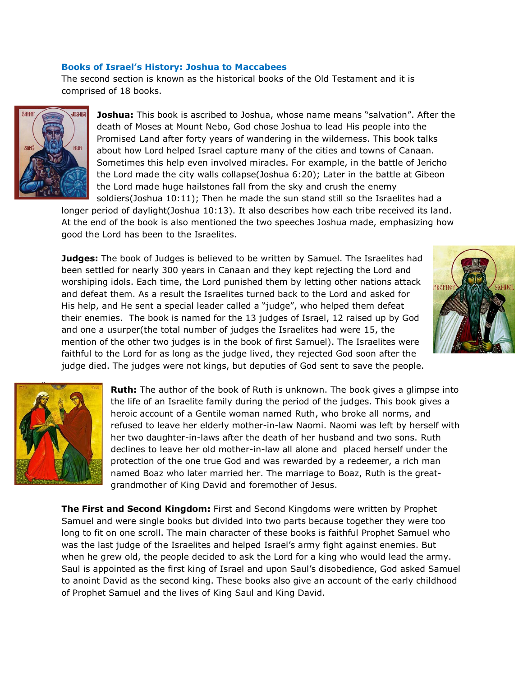### **Books of Israel's History: Joshua to Maccabees**

The second section is known as the historical books of the Old Testament and it is comprised of 18 books.



**Joshua:** This book is ascribed to Joshua, whose name means "salvation". After the death of Moses at Mount Nebo, God chose Joshua to lead His people into the Promised Land after forty years of wandering in the wilderness. This book talks about how Lord helped Israel capture many of the cities and towns of Canaan. Sometimes this help even involved miracles. For example, in the battle of Jericho the Lord made the city walls collapse(Joshua 6:20); Later in the battle at Gibeon the Lord made huge hailstones fall from the sky and crush the enemy soldiers(Joshua 10:11); Then he made the sun stand still so the Israelites had a

longer period of daylight(Joshua 10:13). It also describes how each tribe received its land. At the end of the book is also mentioned the two speeches Joshua made, emphasizing how good the Lord has been to the Israelites.

**Judges:** The book of Judges is believed to be written by Samuel. The Israelites had been settled for nearly 300 years in Canaan and they kept rejecting the Lord and worshiping idols. Each time, the Lord punished them by letting other nations attack and defeat them. As a result the Israelites turned back to the Lord and asked for His help, and He sent a special leader called a "judge", who helped them defeat their enemies. The book is named for the 13 judges of Israel, 12 raised up by God and one a usurper(the total number of judges the Israelites had were 15, the mention of the other two judges is in the book of first Samuel). The Israelites were faithful to the Lord for as long as the judge lived, they rejected God soon after the judge died. The judges were not kings, but deputies of God sent to save the people.





**Ruth:** The author of the book of Ruth is unknown. The book gives a glimpse into the life of an Israelite family during the period of the judges. This book gives a heroic account of a Gentile woman named Ruth, who broke all norms, and refused to leave her elderly mother-in-law Naomi. Naomi was left by herself with her two daughter-in-laws after the death of her husband and two sons. Ruth declines to leave her old mother-in-law all alone and placed herself under the protection of the one true God and was rewarded by a redeemer, a rich man named Boaz who later married her. The marriage to Boaz, Ruth is the greatgrandmother of King David and foremother of Jesus.

**The First and Second Kingdom:** First and Second Kingdoms were written by Prophet Samuel and were single books but divided into two parts because together they were too long to fit on one scroll. The main character of these books is faithful Prophet Samuel who was the last judge of the Israelites and helped Israel"s army fight against enemies. But when he grew old, the people decided to ask the Lord for a king who would lead the army. Saul is appointed as the first king of Israel and upon Saul"s disobedience, God asked Samuel to anoint David as the second king. These books also give an account of the early childhood of Prophet Samuel and the lives of King Saul and King David.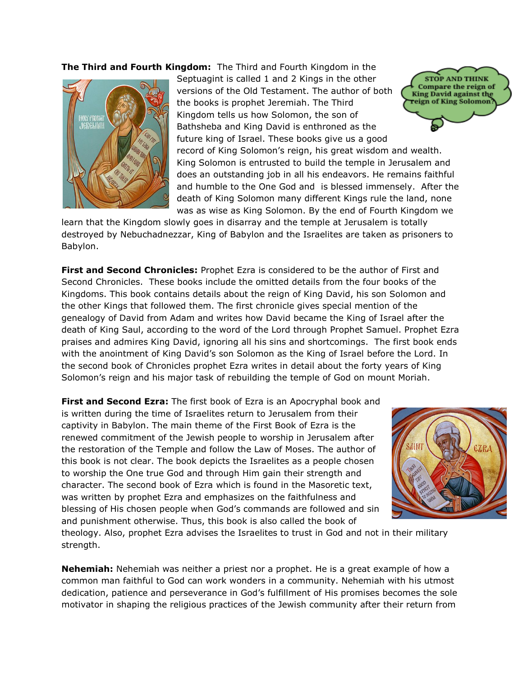**The Third and Fourth Kingdom:** The Third and Fourth Kingdom in the



Septuagint is called 1 and 2 Kings in the other **STOP AND THINK** Compare the reign of versions of the Old Testament. The author of both **King David against the** the books is prophet Jeremiah. The Third reign of King Solomon Kingdom tells us how Solomon, the son of Bathsheba and King David is enthroned as the future king of Israel. These books give us a good record of King Solomon"s reign, his great wisdom and wealth. King Solomon is entrusted to build the temple in Jerusalem and does an outstanding job in all his endeavors. He remains faithful and humble to the One God and is blessed immensely. After the death of King Solomon many different Kings rule the land, none was as wise as King Solomon. By the end of Fourth Kingdom we

learn that the Kingdom slowly goes in disarray and the temple at Jerusalem is totally destroyed by Nebuchadnezzar, King of Babylon and the Israelites are taken as prisoners to Babylon.

**First and Second Chronicles:** Prophet Ezra is considered to be the author of First and Second Chronicles. These books include the omitted details from the four books of the Kingdoms. This book contains details about the reign of King David, his son Solomon and the other Kings that followed them. The first chronicle gives special mention of the genealogy of David from Adam and writes how David became the King of Israel after the death of King Saul, according to the word of the Lord through Prophet Samuel. Prophet Ezra praises and admires King David, ignoring all his sins and shortcomings. The first book ends with the anointment of King David"s son Solomon as the King of Israel before the Lord. In the second book of Chronicles prophet Ezra writes in detail about the forty years of King Solomon's reign and his major task of rebuilding the temple of God on mount Moriah.

**First and Second Ezra:** The first book of Ezra is an Apocryphal book and is written during the time of Israelites return to Jerusalem from their captivity in Babylon. The main theme of the First Book of Ezra is the renewed commitment of the Jewish people to worship in Jerusalem after the restoration of the Temple and follow the Law of Moses. The author of this book is not clear. The book depicts the Israelites as a people chosen to worship the One true God and through Him gain their strength and character. The second book of Ezra which is found in the Masoretic text, was written by prophet Ezra and emphasizes on the faithfulness and blessing of His chosen people when God's commands are followed and sin and punishment otherwise. Thus, this book is also called the book of



theology. Also, prophet Ezra advises the Israelites to trust in God and not in their military strength.

**Nehemiah:** Nehemiah was neither a priest nor a prophet. He is a great example of how a common man faithful to God can work wonders in a community. Nehemiah with his utmost dedication, patience and perseverance in God"s fulfillment of His promises becomes the sole motivator in shaping the religious practices of the Jewish community after their return from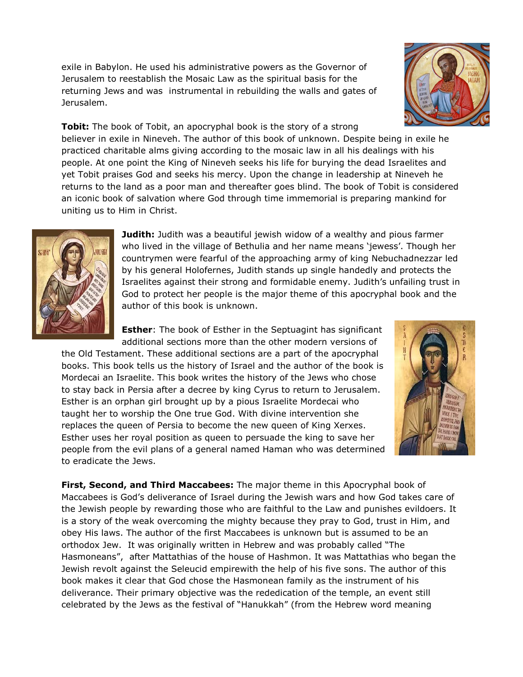exile in Babylon. He used his administrative powers as the Governor of Jerusalem to reestablish the Mosaic Law as the spiritual basis for the returning Jews and was instrumental in rebuilding the walls and gates of Jerusalem.





**Judith:** Judith was a beautiful jewish widow of a wealthy and pious farmer who lived in the village of Bethulia and her name means 'jewess'. Though her countrymen were fearful of the approaching army of king Nebuchadnezzar led by his general Holofernes, Judith stands up single handedly and protects the Israelites against their strong and formidable enemy. Judith's unfailing trust in God to protect her people is the major theme of this apocryphal book and the author of this book is unknown.

**Esther**: The book of Esther in the Septuagint has significant additional sections more than the other modern versions of

the Old Testament. These additional sections are a part of the apocryphal books. This book tells us the history of Israel and the author of the book is Mordecai an Israelite. This book writes the history of the Jews who chose to stay back in Persia after a decree by king Cyrus to return to Jerusalem. Esther is an orphan girl brought up by a pious Israelite Mordecai who taught her to worship the One true God. With divine intervention she replaces the queen of Persia to become the new queen of King Xerxes. Esther uses her royal position as queen to persuade the king to save her people from the evil plans of a general named Haman who was determined to eradicate the Jews.



**First, Second, and Third Maccabees:** The major theme in this Apocryphal book of Maccabees is God"s deliverance of Israel during the Jewish wars and how God takes care of the Jewish people by rewarding those who are faithful to the Law and punishes evildoers. It is a story of the weak overcoming the mighty because they pray to God, trust in Him, and obey His laws. The author of the first Maccabees is unknown but is assumed to be an orthodox Jew. It was originally written in Hebrew and was probably called "The Hasmoneans", after Mattathias of the house of Hashmon. It was Mattathias who began the Jewish revolt against the Seleucid empirewith the help of his five sons. The author of this book makes it clear that God chose the Hasmonean family as the instrument of his deliverance. Their primary objective was the rededication of the temple, an event still celebrated by the Jews as the festival of "Hanukkah" (from the Hebrew word meaning